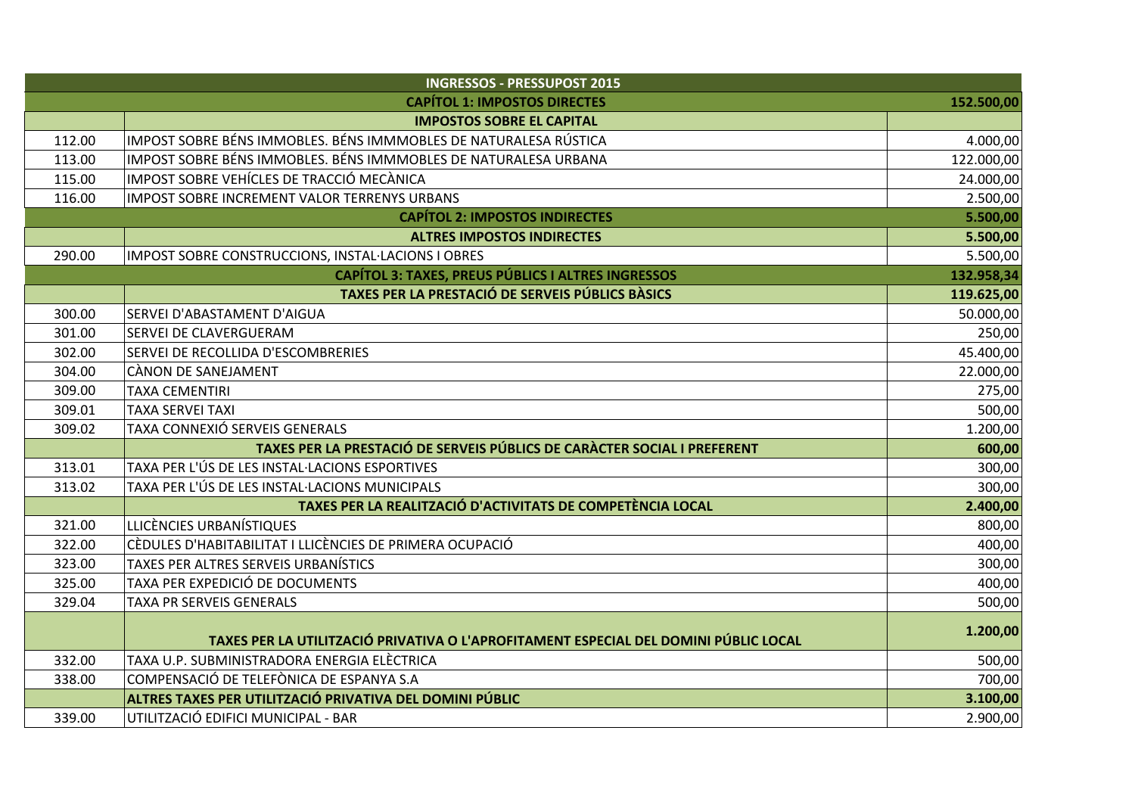| <b>INGRESSOS - PRESSUPOST 2015</b>                                      |                                                                                      |            |  |
|-------------------------------------------------------------------------|--------------------------------------------------------------------------------------|------------|--|
| <b>CAPÍTOL 1: IMPOSTOS DIRECTES</b><br>152.500,00                       |                                                                                      |            |  |
|                                                                         | <b>IMPOSTOS SOBRE EL CAPITAL</b>                                                     |            |  |
| 112.00                                                                  | IMPOST SOBRE BÉNS IMMOBLES. BÉNS IMMMOBLES DE NATURALESA RÚSTICA                     | 4.000,00   |  |
| 113.00                                                                  | IMPOST SOBRE BÉNS IMMOBLES. BÉNS IMMMOBLES DE NATURALESA URBANA                      | 122.000,00 |  |
| 115.00                                                                  | IMPOST SOBRE VEHÍCLES DE TRACCIÓ MECÀNICA                                            | 24.000,00  |  |
| 116.00                                                                  | IMPOST SOBRE INCREMENT VALOR TERRENYS URBANS                                         | 2.500,00   |  |
| 5.500,00<br><b>CAPÍTOL 2: IMPOSTOS INDIRECTES</b>                       |                                                                                      |            |  |
|                                                                         | <b>ALTRES IMPOSTOS INDIRECTES</b>                                                    | 5.500,00   |  |
| 290.00                                                                  | IMPOST SOBRE CONSTRUCCIONS, INSTAL·LACIONS I OBRES                                   | 5.500,00   |  |
| <b>CAPÍTOL 3: TAXES, PREUS PÚBLICS I ALTRES INGRESSOS</b><br>132.958,34 |                                                                                      |            |  |
|                                                                         | TAXES PER LA PRESTACIÓ DE SERVEIS PÚBLICS BÀSICS                                     | 119.625,00 |  |
| 300.00                                                                  | SERVEI D'ABASTAMENT D'AIGUA                                                          | 50.000,00  |  |
| 301.00                                                                  | <b>SERVEI DE CLAVERGUERAM</b>                                                        | 250,00     |  |
| 302.00                                                                  | SERVEI DE RECOLLIDA D'ESCOMBRERIES                                                   | 45.400,00  |  |
| 304.00                                                                  | CÀNON DE SANEJAMENT                                                                  | 22.000,00  |  |
| 309.00                                                                  | <b>TAXA CEMENTIRI</b>                                                                | 275,00     |  |
| 309.01                                                                  | <b>TAXA SERVEI TAXI</b>                                                              | 500,00     |  |
| 309.02                                                                  | TAXA CONNEXIÓ SERVEIS GENERALS                                                       | 1.200,00   |  |
|                                                                         | TAXES PER LA PRESTACIÓ DE SERVEIS PÚBLICS DE CARÀCTER SOCIAL I PREFERENT             | 600,00     |  |
| 313.01                                                                  | TAXA PER L'ÚS DE LES INSTAL·LACIONS ESPORTIVES                                       | 300,00     |  |
| 313.02                                                                  | TAXA PER L'ÚS DE LES INSTAL·LACIONS MUNICIPALS                                       | 300,00     |  |
|                                                                         | TAXES PER LA REALITZACIÓ D'ACTIVITATS DE COMPETÈNCIA LOCAL                           | 2.400,00   |  |
| 321.00                                                                  | LLICÈNCIES URBANÍSTIQUES                                                             | 800,00     |  |
| 322.00                                                                  | CÈDULES D'HABITABILITAT I LLICÈNCIES DE PRIMERA OCUPACIÓ                             | 400,00     |  |
| 323.00                                                                  | TAXES PER ALTRES SERVEIS URBANÍSTICS                                                 | 300,00     |  |
| 325.00                                                                  | TAXA PER EXPEDICIÓ DE DOCUMENTS                                                      | 400,00     |  |
| 329.04                                                                  | TAXA PR SERVEIS GENERALS                                                             | 500,00     |  |
|                                                                         | TAXES PER LA UTILITZACIÓ PRIVATIVA O L'APROFITAMENT ESPECIAL DEL DOMINI PÚBLIC LOCAL | 1.200,00   |  |
| 332.00                                                                  | TAXA U.P. SUBMINISTRADORA ENERGIA ELÈCTRICA                                          | 500,00     |  |
| 338.00                                                                  | COMPENSACIÓ DE TELEFÒNICA DE ESPANYA S.A                                             | 700,00     |  |
|                                                                         | ALTRES TAXES PER UTILITZACIÓ PRIVATIVA DEL DOMINI PÚBLIC                             | 3.100,00   |  |
| 339.00                                                                  | UTILITZACIÓ EDIFICI MUNICIPAL - BAR                                                  | 2.900,00   |  |